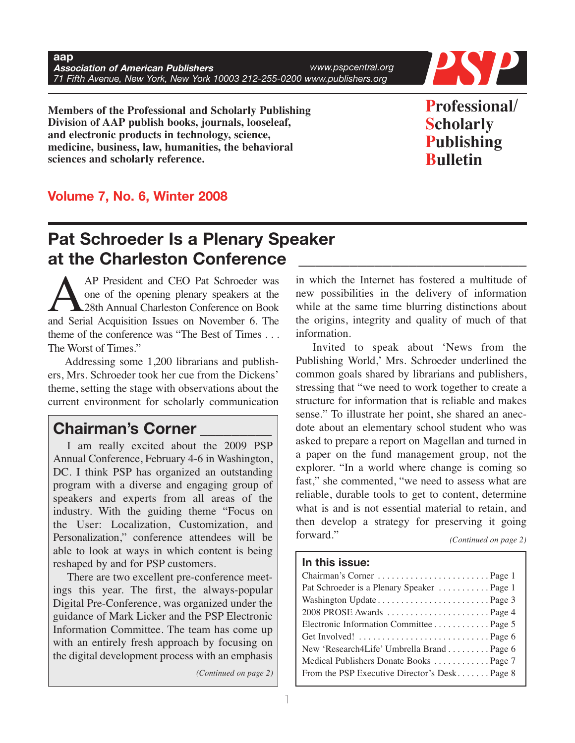

**Members of the Professional and Scholarly Publishing Division of AAP publish books, journals, looseleaf, and electronic products in technology, science, medicine, business, law, humanities, the behavioral sciences and scholarly reference.**

**Professional/ Scholarly Publishing Bulletin**

## **Volume 7, No. 6, Winter 2008**

# **Pat Schroeder Is a Plenary Speaker at the Charleston Conference \_\_\_\_\_\_\_\_\_\_\_\_\_\_\_\_\_\_\_\_\_\_\_\_\_\_\_**

AP President and CEO Pat Schroeder was<br>
one of the opening plenary speakers at the<br>
28th Annual Charleston Conference on Book<br>
and Serial Acquisition Issues on November 6. The one of the opening plenary speakers at the 28th Annual Charleston Conference on Book and Serial Acquisition Issues on November 6. The theme of the conference was "The Best of Times . . . The Worst of Times."

Addressing some 1,200 librarians and publishers, Mrs. Schroeder took her cue from the Dickens' theme, setting the stage with observations about the current environment for scholarly communication

## **Chairman's Corner \_\_\_\_\_\_\_\_\_**

I am really excited about the 2009 PSP Annual Conference, February 4-6 in Washington, DC. I think PSP has organized an outstanding program with a diverse and engaging group of speakers and experts from all areas of the industry. With the guiding theme "Focus on the User: Localization, Customization, and Personalization," conference attendees will be able to look at ways in which content is being reshaped by and for PSP customers.

There are two excellent pre-conference meetings this year. The first, the always-popular Digital Pre-Conference, was organized under the guidance of Mark Licker and the PSP Electronic Information Committee. The team has come up with an entirely fresh approach by focusing on the digital development process with an emphasis

*(Continued on page 2)*

in which the Internet has fostered a multitude of new possibilities in the delivery of information while at the same time blurring distinctions about the origins, integrity and quality of much of that information.

Invited to speak about 'News from the Publishing World,' Mrs. Schroeder underlined the common goals shared by librarians and publishers, stressing that "we need to work together to create a structure for information that is reliable and makes sense." To illustrate her point, she shared an anecdote about an elementary school student who was asked to prepare a report on Magellan and turned in a paper on the fund management group, not the explorer. "In a world where change is coming so fast," she commented, "we need to assess what are reliable, durable tools to get to content, determine what is and is not essential material to retain, and then develop a strategy for preserving it going forward." *(Continued on page 2)*

## **In this issue:**

| Pat Schroeder is a Plenary Speaker  Page 1   |
|----------------------------------------------|
|                                              |
| 2008 PROSE Awards  Page 4                    |
| Electronic Information Committee Page 5      |
|                                              |
| New 'Research4Life' Umbrella BrandPage 6     |
| Medical Publishers Donate Books  Page 7      |
| From the PSP Executive Director's DeskPage 8 |
|                                              |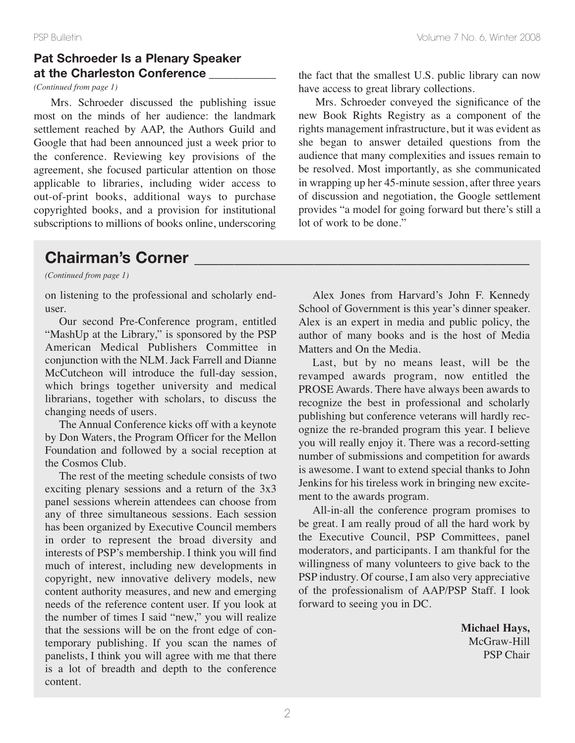## **Pat Schroeder Is a Plenary Speaker at the Charleston Conference \_\_\_\_\_\_\_\_\_\_\_**

*(Continued from page 1)*

Mrs. Schroeder discussed the publishing issue most on the minds of her audience: the landmark settlement reached by AAP, the Authors Guild and Google that had been announced just a week prior to the conference. Reviewing key provisions of the agreement, she focused particular attention on those applicable to libraries, including wider access to out-of-print books, additional ways to purchase copyrighted books, and a provision for institutional subscriptions to millions of books online, underscoring

## **Chairman's Corner \_\_\_\_\_\_\_\_\_\_\_\_\_\_\_\_\_\_\_\_\_\_\_\_\_\_\_\_\_\_\_\_\_\_\_\_\_\_\_\_\_\_**

*(Continued from page 1)*

on listening to the professional and scholarly enduser.

Our second Pre-Conference program, entitled "MashUp at the Library," is sponsored by the PSP American Medical Publishers Committee in conjunction with the NLM. Jack Farrell and Dianne McCutcheon will introduce the full-day session, which brings together university and medical librarians, together with scholars, to discuss the changing needs of users.

The Annual Conference kicks off with a keynote by Don Waters, the Program Officer for the Mellon Foundation and followed by a social reception at the Cosmos Club.

The rest of the meeting schedule consists of two exciting plenary sessions and a return of the 3x3 panel sessions wherein attendees can choose from any of three simultaneous sessions. Each session has been organized by Executive Council members in order to represent the broad diversity and interests of PSP's membership. I think you will find much of interest, including new developments in copyright, new innovative delivery models, new content authority measures, and new and emerging needs of the reference content user. If you look at the number of times I said "new," you will realize that the sessions will be on the front edge of contemporary publishing. If you scan the names of panelists, I think you will agree with me that there is a lot of breadth and depth to the conference content.

the fact that the smallest U.S. public library can now have access to great library collections.

Mrs. Schroeder conveyed the significance of the new Book Rights Registry as a component of the rights management infrastructure, but it was evident as she began to answer detailed questions from the audience that many complexities and issues remain to be resolved. Most importantly, as she communicated in wrapping up her 45-minute session, after three years of discussion and negotiation, the Google settlement provides "a model for going forward but there's still a lot of work to be done."

Alex Jones from Harvard's John F. Kennedy School of Government is this year's dinner speaker. Alex is an expert in media and public policy, the author of many books and is the host of Media Matters and On the Media.

Last, but by no means least, will be the revamped awards program, now entitled the PROSE Awards. There have always been awards to recognize the best in professional and scholarly publishing but conference veterans will hardly recognize the re-branded program this year. I believe you will really enjoy it. There was a record-setting number of submissions and competition for awards is awesome. I want to extend special thanks to John Jenkins for his tireless work in bringing new excitement to the awards program.

All-in-all the conference program promises to be great. I am really proud of all the hard work by the Executive Council, PSP Committees, panel moderators, and participants. I am thankful for the willingness of many volunteers to give back to the PSP industry. Of course, I am also very appreciative of the professionalism of AAP/PSP Staff. I look forward to seeing you in DC.

> **Michael Hays,** McGraw-Hill PSP Chair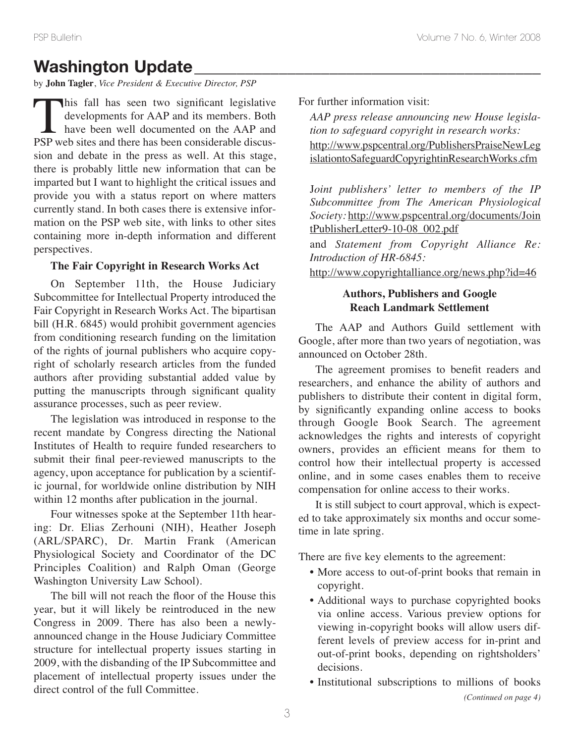# **Washington Update**

by **John Tagler**, *Vice President & Executive Director, PSP*

This fall has seen two significant legislative<br>developments for AAP and its members. Both<br>have been well documented on the AAP and<br>PSP web sites and there has been considerable discusdevelopments for AAP and its members. Both have been well documented on the AAP and PSP web sites and there has been considerable discussion and debate in the press as well. At this stage, there is probably little new information that can be imparted but I want to highlight the critical issues and provide you with a status report on where matters currently stand. In both cases there is extensive information on the PSP web site, with links to other sites containing more in-depth information and different perspectives.

## **The Fair Copyright in Research Works Act**

On September 11th, the House Judiciary Subcommittee for Intellectual Property introduced the Fair Copyright in Research Works Act. The bipartisan bill (H.R. 6845) would prohibit government agencies from conditioning research funding on the limitation of the rights of journal publishers who acquire copyright of scholarly research articles from the funded authors after providing substantial added value by putting the manuscripts through significant quality assurance processes, such as peer review.

The legislation was introduced in response to the recent mandate by Congress directing the National Institutes of Health to require funded researchers to submit their final peer-reviewed manuscripts to the agency, upon acceptance for publication by a scientific journal, for worldwide online distribution by NIH within 12 months after publication in the journal.

Four witnesses spoke at the September 11th hearing: Dr. Elias Zerhouni (NIH), Heather Joseph (ARL/SPARC), Dr. Martin Frank (American Physiological Society and Coordinator of the DC Principles Coalition) and Ralph Oman (George Washington University Law School).

The bill will not reach the floor of the House this year, but it will likely be reintroduced in the new Congress in 2009. There has also been a newlyannounced change in the House Judiciary Committee structure for intellectual property issues starting in 2009, with the disbanding of the IP Subcommittee and placement of intellectual property issues under the direct control of the full Committee.

For further information visit:

*AAP press release announcing new House legislation to safeguard copyright in research works:* http://www.pspcentral.org/PublishersPraiseNewLeg islationtoSafeguardCopyrightinResearchWorks.cfm

J*oint publishers' letter to members of the IP Subcommittee from The American Physiological Society:* http://www.pspcentral.org/documents/Join tPublisherLetter9-10-08\_002.pdf

and *Statement from Copyright Alliance Re: Introduction of HR-6845:*

http://www.copyrightalliance.org/news.php?id=46

## **Authors, Publishers and Google Reach Landmark Settlement**

The AAP and Authors Guild settlement with Google, after more than two years of negotiation, was announced on October 28th.

The agreement promises to benefit readers and researchers, and enhance the ability of authors and publishers to distribute their content in digital form, by significantly expanding online access to books through Google Book Search. The agreement acknowledges the rights and interests of copyright owners, provides an efficient means for them to control how their intellectual property is accessed online, and in some cases enables them to receive compensation for online access to their works.

It is still subject to court approval, which is expected to take approximately six months and occur sometime in late spring.

There are five key elements to the agreement:

- More access to out-of-print books that remain in copyright.
- Additional ways to purchase copyrighted books via online access. Various preview options for viewing in-copyright books will allow users different levels of preview access for in-print and out-of-print books, depending on rightsholders' decisions.
- Institutional subscriptions to millions of books *(Continued on page 4)*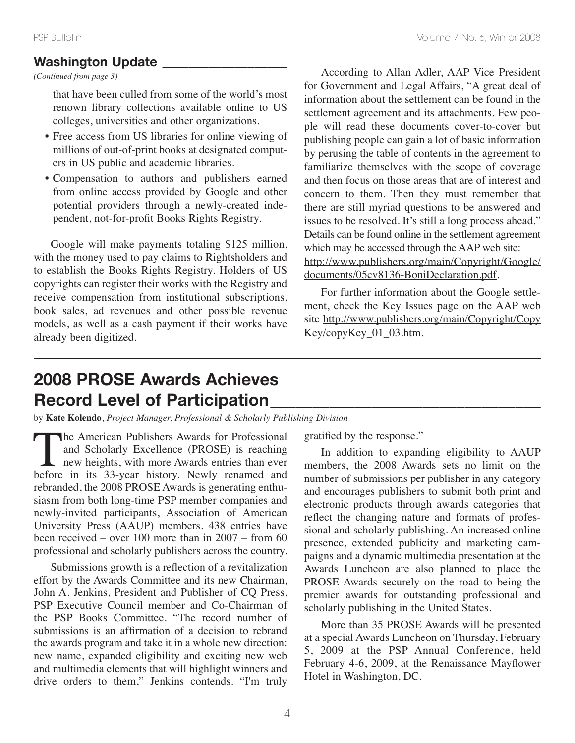*(Continued from page 3)*

that have been culled from some of the world's most renown library collections available online to US colleges, universities and other organizations.

- Free access from US libraries for online viewing of millions of out-of-print books at designated computers in US public and academic libraries.
- Compensation to authors and publishers earned from online access provided by Google and other potential providers through a newly-created independent, not-for-profit Books Rights Registry.

Google will make payments totaling \$125 million, with the money used to pay claims to Rightsholders and to establish the Books Rights Registry. Holders of US copyrights can register their works with the Registry and receive compensation from institutional subscriptions, book sales, ad revenues and other possible revenue models, as well as a cash payment if their works have already been digitized.

According to Allan Adler, AAP Vice President for Government and Legal Affairs, "A great deal of information about the settlement can be found in the settlement agreement and its attachments. Few people will read these documents cover-to-cover but publishing people can gain a lot of basic information by perusing the table of contents in the agreement to familiarize themselves with the scope of coverage and then focus on those areas that are of interest and concern to them. Then they must remember that there are still myriad questions to be answered and issues to be resolved. It's still a long process ahead." Details can be found online in the settlement agreement which may be accessed through the AAP web site: http://www.publishers.org/main/Copyright/Google/ documents/05cv8136-BoniDeclaration.pdf.

For further information about the Google settlement, check the Key Issues page on the AAP web site http://www.publishers.org/main/Copyright/Copy Key/copyKey\_01\_03.htm.

# **2008 PROSE Awards Achieves Record Level of Participation\_\_\_\_\_\_\_\_\_\_\_\_\_\_\_\_\_\_\_\_\_\_\_\_\_\_\_\_\_\_\_\_**

by **Kate Kolendo**, *Project Manager, Professional & Scholarly Publishing Division*

The American Publishers Awards for Professional<br>and Scholarly Excellence (PROSE) is reaching<br>new heights, with more Awards entries than ever<br>before in its 33-vear history. Newly renamed and and Scholarly Excellence (PROSE) is reaching new heights, with more Awards entries than ever before in its 33-year history. Newly renamed and rebranded, the 2008 PROSE Awards is generating enthusiasm from both long-time PSP member companies and newly-invited participants, Association of American University Press (AAUP) members. 438 entries have been received – over 100 more than in 2007 – from 60 professional and scholarly publishers across the country.

Submissions growth is a reflection of a revitalization effort by the Awards Committee and its new Chairman, John A. Jenkins, President and Publisher of CQ Press, PSP Executive Council member and Co-Chairman of the PSP Books Committee. "The record number of submissions is an affirmation of a decision to rebrand the awards program and take it in a whole new direction: new name, expanded eligibility and exciting new web and multimedia elements that will highlight winners and drive orders to them," Jenkins contends. "I'm truly

gratified by the response."

In addition to expanding eligibility to AAUP members, the 2008 Awards sets no limit on the number of submissions per publisher in any category and encourages publishers to submit both print and electronic products through awards categories that reflect the changing nature and formats of professional and scholarly publishing. An increased online presence, extended publicity and marketing campaigns and a dynamic multimedia presentation at the Awards Luncheon are also planned to place the PROSE Awards securely on the road to being the premier awards for outstanding professional and scholarly publishing in the United States.

More than 35 PROSE Awards will be presented at a special Awards Luncheon on Thursday, February 5, 2009 at the PSP Annual Conference, held February 4-6, 2009, at the Renaissance Mayflower Hotel in Washington, DC.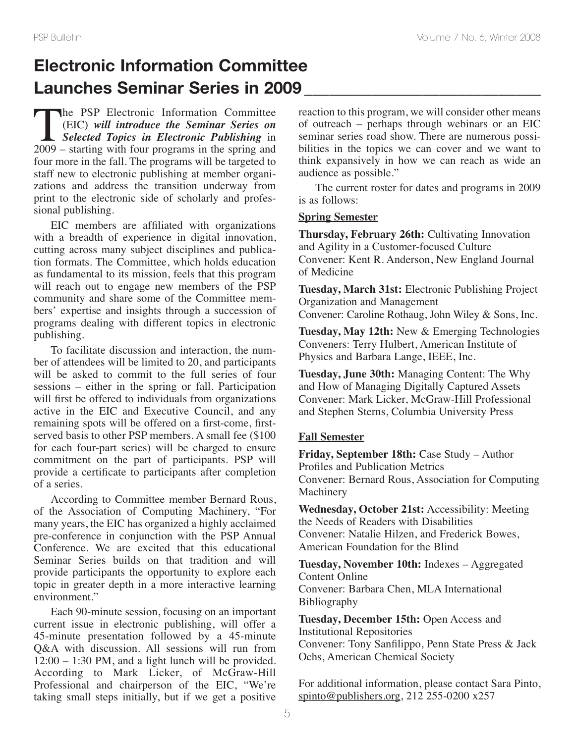# **Electronic Information Committee Launches Seminar Series in 2009 \_\_\_\_\_\_\_\_\_\_\_\_\_\_\_\_\_\_\_\_\_\_\_\_\_\_\_\_**

The PSP Electronic Information Committee<br>(EIC) will introduce the Seminar Series on<br>Selected Topics in Electronic Publishing in<br>2009 – starting with four programs in the spring and (EIC) *will introduce the Seminar Series on Selected Topics in Electronic Publishing* in 2009 – starting with four programs in the spring and four more in the fall. The programs will be targeted to staff new to electronic publishing at member organizations and address the transition underway from print to the electronic side of scholarly and professional publishing.

EIC members are affiliated with organizations with a breadth of experience in digital innovation, cutting across many subject disciplines and publication formats. The Committee, which holds education as fundamental to its mission, feels that this program will reach out to engage new members of the PSP community and share some of the Committee members' expertise and insights through a succession of programs dealing with different topics in electronic publishing.

To facilitate discussion and interaction, the number of attendees will be limited to 20, and participants will be asked to commit to the full series of four sessions – either in the spring or fall. Participation will first be offered to individuals from organizations active in the EIC and Executive Council, and any remaining spots will be offered on a first-come, firstserved basis to other PSP members. A small fee (\$100 for each four-part series) will be charged to ensure commitment on the part of participants. PSP will provide a certificate to participants after completion of a series.

According to Committee member Bernard Rous, of the Association of Computing Machinery, "For many years, the EIC has organized a highly acclaimed pre-conference in conjunction with the PSP Annual Conference. We are excited that this educational Seminar Series builds on that tradition and will provide participants the opportunity to explore each topic in greater depth in a more interactive learning environment."

Each 90-minute session, focusing on an important current issue in electronic publishing, will offer a 45-minute presentation followed by a 45-minute Q&A with discussion. All sessions will run from 12:00 – 1:30 PM, and a light lunch will be provided. According to Mark Licker, of McGraw-Hill Professional and chairperson of the EIC, "We're taking small steps initially, but if we get a positive

reaction to this program, we will consider other means of outreach – perhaps through webinars or an EIC seminar series road show. There are numerous possibilities in the topics we can cover and we want to think expansively in how we can reach as wide an audience as possible."

The current roster for dates and programs in 2009 is as follows:

#### **Spring Semester**

**Thursday, February 26th:** Cultivating Innovation and Agility in a Customer-focused Culture Convener: Kent R. Anderson, New England Journal of Medicine

**Tuesday, March 31st:** Electronic Publishing Project Organization and Management Convener: Caroline Rothaug, John Wiley & Sons, Inc.

**Tuesday, May 12th:** New & Emerging Technologies Conveners: Terry Hulbert, American Institute of Physics and Barbara Lange, IEEE, Inc.

**Tuesday, June 30th:** Managing Content: The Why and How of Managing Digitally Captured Assets Convener: Mark Licker, McGraw-Hill Professional and Stephen Sterns, Columbia University Press

### **Fall Semester**

**Friday, September 18th:** Case Study – Author Profiles and Publication Metrics Convener: Bernard Rous, Association for Computing **Machinery** 

**Wednesday, October 21st:** Accessibility: Meeting the Needs of Readers with Disabilities Convener: Natalie Hilzen, and Frederick Bowes, American Foundation for the Blind

**Tuesday, November 10th:** Indexes – Aggregated Content Online Convener: Barbara Chen, MLA International Bibliography

**Tuesday, December 15th:** Open Access and Institutional Repositories Convener: Tony Sanfilippo, Penn State Press & Jack Ochs, American Chemical Society

For additional information, please contact Sara Pinto, spinto@publishers.org, 212 255-0200 x257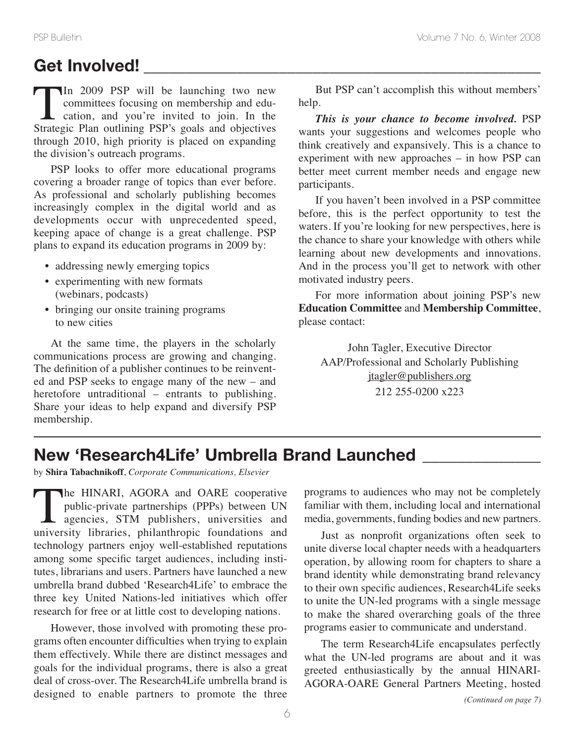# **Get Involved! \_\_\_\_\_\_\_\_\_\_\_\_\_\_\_\_\_\_\_\_\_\_\_\_\_\_\_\_\_\_\_\_\_\_\_\_\_\_\_\_\_\_\_\_\_\_\_**

In 2009 PSP will be launching two new<br>committees focusing on membership and edu-<br>cation, and you're invited to join. In the<br>Strategic Plan outlining PSP's goals and objectives committees focusing on membership and education, and you're invited to join. In the Strategic Plan outlining PSP's goals and objectives through 2010, high priority is placed on expanding the division's outreach programs.

PSP looks to offer more educational programs covering a broader range of topics than ever before. As professional and scholarly publishing becomes increasingly complex in the digital world and as developments occur with unprecedented speed, keeping apace of change is a great challenge. PSP plans to expand its education programs in 2009 by:

- addressing newly emerging topics
- experimenting with new formats (webinars, podcasts)
- bringing our onsite training programs to new cities

At the same time, the players in the scholarly communications process are growing and changing. The definition of a publisher continues to be reinvented and PSP seeks to engage many of the new – and heretofore untraditional – entrants to publishing. Share your ideas to help expand and diversify PSP membership.

But PSP can't accomplish this without members' help.

*This is your chance to become involved.* PSP wants your suggestions and welcomes people who think creatively and expansively. This is a chance to experiment with new approaches – in how PSP can better meet current member needs and engage new participants.

If you haven't been involved in a PSP committee before, this is the perfect opportunity to test the waters. If you're looking for new perspectives, here is the chance to share your knowledge with others while learning about new developments and innovations. And in the process you'll get to network with other motivated industry peers.

For more information about joining PSP's new **Education Committee** and **Membership Committee**, please contact:

John Tagler, Executive Director AAP/Professional and Scholarly Publishing jtagler@publishers.org 212 255-0200 x223

# **New 'Research4Life' Umbrella Brand Launched \_\_\_\_\_\_\_\_\_\_\_\_\_\_**

by **Shira Tabachnikoff**, *Corporate Communications, Elsevier*

The HINARI, AGORA and OARE cooperative<br>public-private partnerships (PPPs) between UN<br>agencies, STM publishers, universities and<br>university libraries, philanthropic foundations and public-private partnerships (PPPs) between UN agencies, STM publishers, universities and university libraries, philanthropic foundations and technology partners enjoy well-established reputations among some specific target audiences, including institutes, librarians and users. Partners have launched a new umbrella brand dubbed 'Research4Life' to embrace the three key United Nations-led initiatives which offer research for free or at little cost to developing nations.

However, those involved with promoting these programs often encounter difficulties when trying to explain them effectively. While there are distinct messages and goals for the individual programs, there is also a great deal of cross-over. The Research4Life umbrella brand is designed to enable partners to promote the three

programs to audiences who may not be completely familiar with them, including local and international media, governments, funding bodies and new partners.

Just as nonprofit organizations often seek to unite diverse local chapter needs with a headquarters operation, by allowing room for chapters to share a brand identity while demonstrating brand relevancy to their own specific audiences, Research4Life seeks to unite the UN-led programs with a single message to make the shared overarching goals of the three programs easier to communicate and understand.

The term Research4Life encapsulates perfectly what the UN-led programs are about and it was greeted enthusiastically by the annual HINARI-AGORA-OARE General Partners Meeting, hosted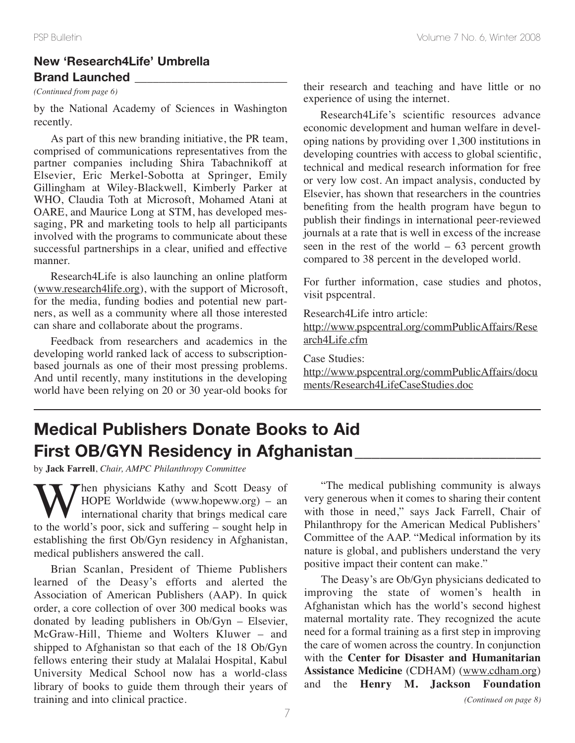## **New 'Research4Life' Umbrella Brand Launched \_\_\_\_\_\_\_\_\_\_\_\_\_\_\_\_\_\_\_\_\_\_\_\_\_**

by the National Academy of Sciences in Washington recently.

As part of this new branding initiative, the PR team, comprised of communications representatives from the partner companies including Shira Tabachnikoff at Elsevier, Eric Merkel-Sobotta at Springer, Emily Gillingham at Wiley-Blackwell, Kimberly Parker at WHO, Claudia Toth at Microsoft, Mohamed Atani at OARE, and Maurice Long at STM, has developed messaging, PR and marketing tools to help all participants involved with the programs to communicate about these successful partnerships in a clear, unified and effective manner.

Research4Life is also launching an online platform (www.research4life.org), with the support of Microsoft, for the media, funding bodies and potential new partners, as well as a community where all those interested can share and collaborate about the programs.

Feedback from researchers and academics in the developing world ranked lack of access to subscriptionbased journals as one of their most pressing problems. And until recently, many institutions in the developing world have been relying on 20 or 30 year-old books for

*(Continued from page 6)* their research and teaching and have little or no experience of using the internet.

> Research4Life's scientific resources advance economic development and human welfare in developing nations by providing over 1,300 institutions in developing countries with access to global scientific, technical and medical research information for free or very low cost. An impact analysis, conducted by Elsevier, has shown that researchers in the countries benefiting from the health program have begun to publish their findings in international peer-reviewed journals at a rate that is well in excess of the increase seen in the rest of the world – 63 percent growth compared to 38 percent in the developed world.

> For further information, case studies and photos, visit pspcentral.

Research4Life intro article:

http://www.pspcentral.org/commPublicAffairs/Rese arch4Life.cfm

Case Studies:

http://www.pspcentral.org/commPublicAffairs/docu ments/Research4LifeCaseStudies.doc

# **Medical Publishers Donate Books to Aid First OB/GYN Residency in Afghanistan\_\_\_\_\_\_\_\_\_\_\_\_\_\_\_\_\_\_\_\_\_\_**

by **Jack Farrell**, *Chair, AMPC Philanthropy Committee*

Then physicians Kathy and Scott Deasy of HOPE Worldwide (www.hopeww.org) – an **v** international charity that brings medical care to the world's poor, sick and suffering – sought help in establishing the first Ob/Gyn residency in Afghanistan, medical publishers answered the call.

Brian Scanlan, President of Thieme Publishers learned of the Deasy's efforts and alerted the Association of American Publishers (AAP). In quick order, a core collection of over 300 medical books was donated by leading publishers in Ob/Gyn – Elsevier, McGraw-Hill, Thieme and Wolters Kluwer – and shipped to Afghanistan so that each of the 18 Ob/Gyn fellows entering their study at Malalai Hospital, Kabul University Medical School now has a world-class library of books to guide them through their years of training and into clinical practice.

"The medical publishing community is always very generous when it comes to sharing their content with those in need," says Jack Farrell, Chair of Philanthropy for the American Medical Publishers' Committee of the AAP. "Medical information by its nature is global, and publishers understand the very positive impact their content can make."

The Deasy's are Ob/Gyn physicians dedicated to improving the state of women's health in Afghanistan which has the world's second highest maternal mortality rate. They recognized the acute need for a formal training as a first step in improving the care of women across the country. In conjunction with the **Center for Disaster and Humanitarian Assistance Medicine** (CDHAM) (www.cdham.org) and the **Henry M. Jackson Foundation**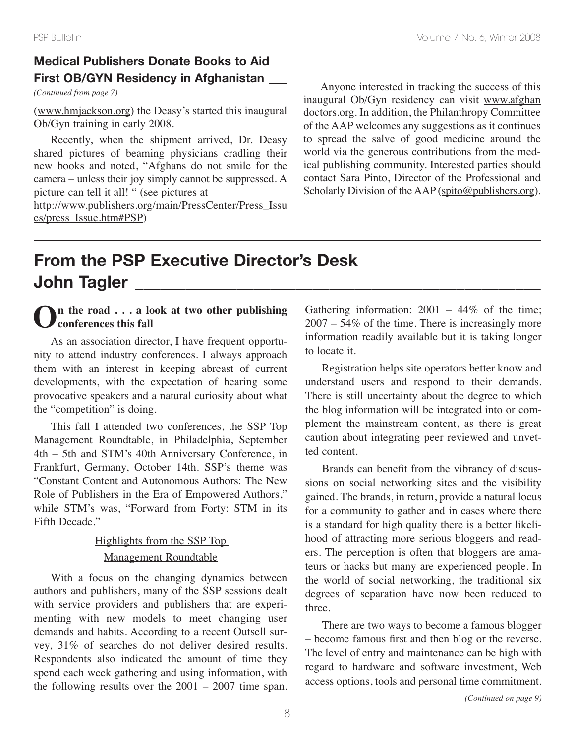## **Medical Publishers Donate Books to Aid First OB/GYN Residency in Afghanistan \_\_\_**

(www.hmjackson.org) the Deasy's started this inaugural Ob/Gyn training in early 2008.

Recently, when the shipment arrived, Dr. Deasy shared pictures of beaming physicians cradling their new books and noted, "Afghans do not smile for the camera – unless their joy simply cannot be suppressed. A picture can tell it all! " (see pictures at

http://www.publishers.org/main/PressCenter/Press\_Issu es/press\_Issue.htm#PSP)

*(Continued from page 7) Continued from page 7)* Anyone interested in tracking the success of this inaugural Ob/Gyn residency can visit www.afghan doctors.org. In addition, the Philanthropy Committee of the AAP welcomes any suggestions as it continues to spread the salve of good medicine around the world via the generous contributions from the medical publishing community. Interested parties should contact Sara Pinto, Director of the Professional and Scholarly Division of the AAP (spito@publishers.org).

# **From the PSP Executive Director's Desk John Tagler \_\_\_\_\_\_\_\_\_\_\_\_\_\_\_\_\_\_\_\_\_\_\_\_\_\_\_\_\_\_\_\_\_\_\_\_\_\_\_\_\_\_\_\_\_\_\_\_**

## **On the road . . . <sup>a</sup> look at two other publishing conferences this fall**

As an association director, I have frequent opportunity to attend industry conferences. I always approach them with an interest in keeping abreast of current developments, with the expectation of hearing some provocative speakers and a natural curiosity about what the "competition" is doing.

This fall I attended two conferences, the SSP Top Management Roundtable, in Philadelphia, September 4th – 5th and STM's 40th Anniversary Conference, in Frankfurt, Germany, October 14th. SSP's theme was "Constant Content and Autonomous Authors: The New Role of Publishers in the Era of Empowered Authors," while STM's was, "Forward from Forty: STM in its Fifth Decade."

## Highlights from the SSP Top Management Roundtable

With a focus on the changing dynamics between authors and publishers, many of the SSP sessions dealt with service providers and publishers that are experimenting with new models to meet changing user demands and habits. According to a recent Outsell survey, 31% of searches do not deliver desired results. Respondents also indicated the amount of time they spend each week gathering and using information, with the following results over the  $2001 - 2007$  time span. Gathering information:  $2001 - 44\%$  of the time; 2007 – 54% of the time. There is increasingly more information readily available but it is taking longer to locate it.

Registration helps site operators better know and understand users and respond to their demands. There is still uncertainty about the degree to which the blog information will be integrated into or complement the mainstream content, as there is great caution about integrating peer reviewed and unvetted content.

Brands can benefit from the vibrancy of discussions on social networking sites and the visibility gained. The brands, in return, provide a natural locus for a community to gather and in cases where there is a standard for high quality there is a better likelihood of attracting more serious bloggers and readers. The perception is often that bloggers are amateurs or hacks but many are experienced people. In the world of social networking, the traditional six degrees of separation have now been reduced to three.

There are two ways to become a famous blogger – become famous first and then blog or the reverse. The level of entry and maintenance can be high with regard to hardware and software investment, Web access options, tools and personal time commitment.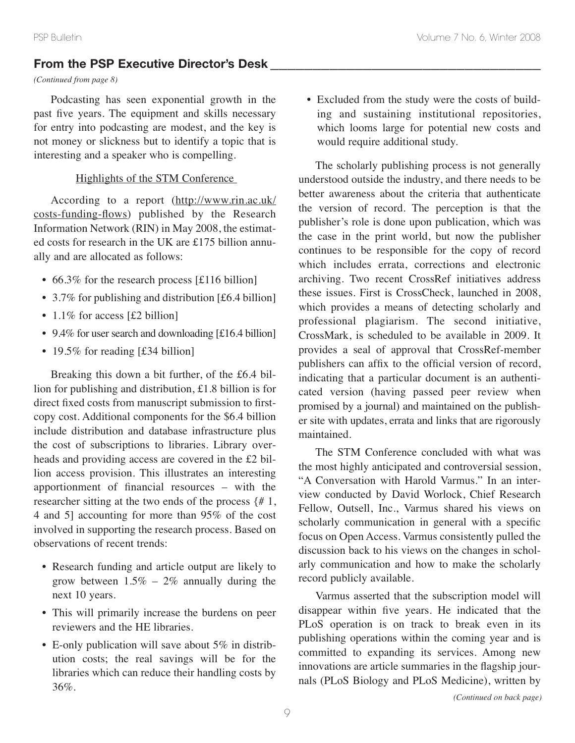## **From the PSP Executive Director's Desk \_\_\_\_\_\_\_\_\_\_\_\_\_\_\_\_\_\_\_\_\_\_\_\_\_\_\_\_\_\_\_\_**

## *(Continued from page 8)*

Podcasting has seen exponential growth in the past five years. The equipment and skills necessary for entry into podcasting are modest, and the key is not money or slickness but to identify a topic that is interesting and a speaker who is compelling.

## Highlights of the STM Conference

According to a report (http://www.rin.ac.uk/ costs-funding-flows) published by the Research Information Network (RIN) in May 2008, the estimated costs for research in the UK are £175 billion annually and are allocated as follows:

- 66.3% for the research process [£116 billion]
- 3.7% for publishing and distribution [£6.4 billion]
- 1.1% for access [£2 billion]
- 9.4% for user search and downloading  $[£16.4$  billion]
- 19.5% for reading [£34 billion]

Breaking this down a bit further, of the £6.4 billion for publishing and distribution, £1.8 billion is for direct fixed costs from manuscript submission to firstcopy cost. Additional components for the \$6.4 billion include distribution and database infrastructure plus the cost of subscriptions to libraries. Library overheads and providing access are covered in the £2 billion access provision. This illustrates an interesting apportionment of financial resources – with the researcher sitting at the two ends of the process {# 1, 4 and 5] accounting for more than 95% of the cost involved in supporting the research process. Based on observations of recent trends:

- Research funding and article output are likely to grow between  $1.5\% - 2\%$  annually during the next 10 years.
- This will primarily increase the burdens on peer reviewers and the HE libraries.
- E-only publication will save about 5% in distribution costs; the real savings will be for the libraries which can reduce their handling costs by 36%.

• Excluded from the study were the costs of building and sustaining institutional repositories, which looms large for potential new costs and would require additional study.

The scholarly publishing process is not generally understood outside the industry, and there needs to be better awareness about the criteria that authenticate the version of record. The perception is that the publisher's role is done upon publication, which was the case in the print world, but now the publisher continues to be responsible for the copy of record which includes errata, corrections and electronic archiving. Two recent CrossRef initiatives address these issues. First is CrossCheck, launched in 2008, which provides a means of detecting scholarly and professional plagiarism. The second initiative, CrossMark, is scheduled to be available in 2009. It provides a seal of approval that CrossRef-member publishers can affix to the official version of record, indicating that a particular document is an authenticated version (having passed peer review when promised by a journal) and maintained on the publisher site with updates, errata and links that are rigorously maintained.

The STM Conference concluded with what was the most highly anticipated and controversial session, "A Conversation with Harold Varmus." In an interview conducted by David Worlock, Chief Research Fellow, Outsell, Inc., Varmus shared his views on scholarly communication in general with a specific focus on Open Access. Varmus consistently pulled the discussion back to his views on the changes in scholarly communication and how to make the scholarly record publicly available.

Varmus asserted that the subscription model will disappear within five years. He indicated that the PLoS operation is on track to break even in its publishing operations within the coming year and is committed to expanding its services. Among new innovations are article summaries in the flagship journals (PLoS Biology and PLoS Medicine), written by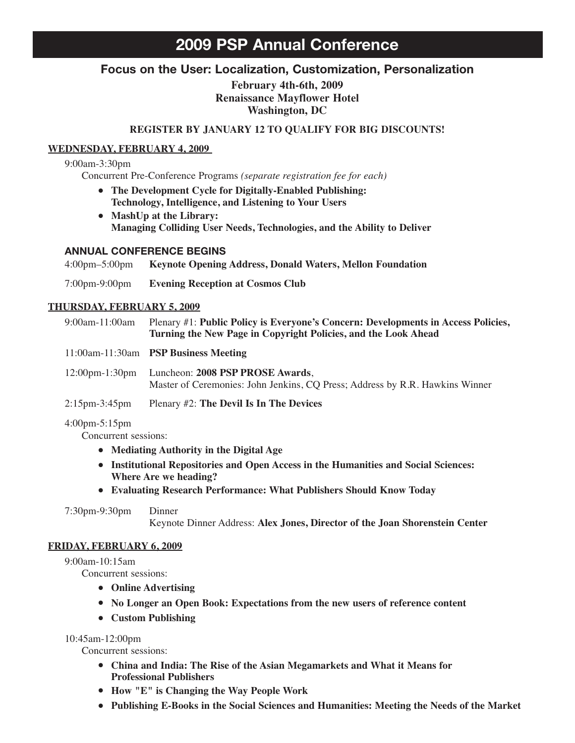## **2009 PSP Annual Conference**

## **Focus on the User: Localization, Customization, Personalization**

**February 4th-6th, 2009 Renaissance Mayflower Hotel Washington, DC**

#### **REGISTER BY JANUARY 12 TO QUALIFY FOR BIG DISCOUNTS!**

#### **WEDNESDAY, FEBRUARY 4, 2009**

#### 9:00am-3:30pm

Concurrent Pre-Conference Programs *(separate registration fee for each)*

- **• The Development Cycle for Digitally-Enabled Publishing: Technology, Intelligence, and Listening to Your Users**
- **• MashUp at the Library: Managing Colliding User Needs, Technologies, and the Ability to Deliver**

#### **ANNUAL CONFERENCE BEGINS**

4:00pm–5:00pm **Keynote Opening Address, Donald Waters, Mellon Foundation** 7:00pm-9:00pm **Evening Reception at Cosmos Club**

#### **THURSDAY, FEBRUARY 5, 2009**

| 9:00am-11:00am                     | Plenary #1: Public Policy is Everyone's Concern: Developments in Access Policies,<br>Turning the New Page in Copyright Policies, and the Look Ahead |  |  |  |
|------------------------------------|-----------------------------------------------------------------------------------------------------------------------------------------------------|--|--|--|
|                                    | 11:00am-11:30am PSP Business Meeting                                                                                                                |  |  |  |
| $12:00 \text{pm} - 1:30 \text{pm}$ | Luncheon: 2008 PSP PROSE Awards,<br>Master of Ceremonies: John Jenkins, CQ Press; Address by R.R. Hawkins Winner                                    |  |  |  |
| $2:15$ pm-3:45pm                   | Plenary #2: The Devil Is In The Devices                                                                                                             |  |  |  |

#### 4:00pm-5:15pm

Concurrent sessions:

- **• Mediating Authority in the Digital Age**
- **• Institutional Repositories and Open Access in the Humanities and Social Sciences: Where Are we heading?**
- **• Evaluating Research Performance: What Publishers Should Know Today**

7:30pm-9:30pm Dinner

Keynote Dinner Address: **Alex Jones, Director of the Joan Shorenstein Center**

#### **FRIDAY, FEBRUARY 6, 2009**

#### 9:00am-10:15am

Concurrent sessions:

- **• Online Advertising**
- **• No Longer an Open Book: Expectations from the new users of reference content**
- **• Custom Publishing**

#### 10:45am-12:00pm

Concurrent sessions:

- **• China and India: The Rise of the Asian Megamarkets and What it Means for Professional Publishers**
- **• How "E" is Changing the Way People Work**
- **• Publishing E-Books in the Social Sciences and Humanities: Meeting the Needs of the Market**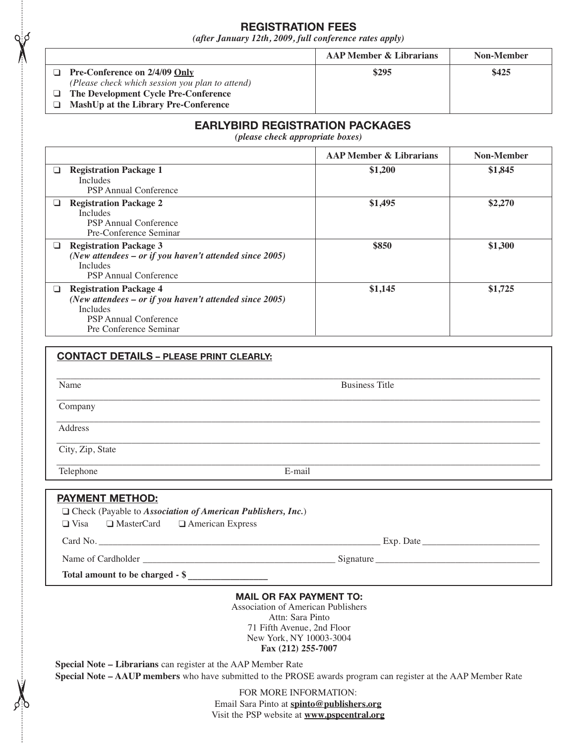## **REGISTRATION FEES**

*(after January 12th, 2009, full conference rates apply)*

|                                                                                         | <b>AAP Member &amp; Librarians</b> | Non-Member |
|-----------------------------------------------------------------------------------------|------------------------------------|------------|
| <b>Pre-Conference on 2/4/09 Only</b><br>(Please check which session you plan to attend) | \$295                              | \$425      |
| The Development Cycle Pre-Conference<br>MashUp at the Library Pre-Conference            |                                    |            |

## **EARLYBIRD REGISTRATION PACKAGES**

*(please check appropriate boxes)*

|   |                                                                                                                                                                         | <b>AAP Member &amp; Librarians</b> | Non-Member |
|---|-------------------------------------------------------------------------------------------------------------------------------------------------------------------------|------------------------------------|------------|
| ப | <b>Registration Package 1</b><br><b>Includes</b><br><b>PSP</b> Annual Conference                                                                                        | \$1,200                            | \$1,845    |
| ப | <b>Registration Package 2</b><br><b>Includes</b><br><b>PSP</b> Annual Conference<br>Pre-Conference Seminar                                                              | \$1,495                            | \$2,270    |
| ❏ | <b>Registration Package 3</b><br>(New attendees $-$ or if you haven't attended since 2005)<br><b>Includes</b><br><b>PSP</b> Annual Conference                           | \$850                              | \$1,300    |
| ⊔ | <b>Registration Package 4</b><br>(New attendees $-$ or if you haven't attended since 2005)<br><b>Includes</b><br><b>PSP</b> Annual Conference<br>Pre Conference Seminar | \$1,145                            | \$1,725    |

| Name             | <b>Business Title</b> |  |  |  |
|------------------|-----------------------|--|--|--|
| Company          |                       |  |  |  |
| Address          |                       |  |  |  |
| City, Zip, State |                       |  |  |  |
| Telephone        | E-mail                |  |  |  |

#### **PAYMENT METHOD:**

|  |  |  | $\Box$ Check (Payable to Association of American Publishers, Inc.) |  |
|--|--|--|--------------------------------------------------------------------|--|
|  |  |  |                                                                    |  |

❑ Visa ❑ MasterCard ❑ American Express

Card No. \_\_\_\_\_\_\_\_\_\_\_\_\_\_\_\_\_\_\_\_\_\_\_\_\_\_\_\_\_\_\_\_\_\_\_\_\_\_\_\_\_\_\_\_\_\_\_\_\_\_\_\_\_\_\_\_\_\_\_\_ Exp. Date \_\_\_\_\_\_\_\_\_\_\_\_\_\_\_\_\_\_\_\_\_\_\_\_\_

Name of Cardholder \_\_\_\_\_\_\_\_\_\_\_\_\_\_\_\_\_\_\_\_\_\_\_\_\_\_\_\_\_\_\_\_\_\_\_\_\_\_\_\_\_ Signature \_\_\_\_\_\_\_\_\_\_\_\_\_\_\_\_\_\_\_\_\_\_\_\_\_\_\_\_\_\_\_\_\_\_\_

**Total amount to be charged - \$ \_\_\_\_\_\_\_\_\_\_\_\_\_\_\_\_\_**

#### **MAIL OR FAX PAYMENT TO:**

Association of American Publishers Attn: Sara Pinto 71 Fifth Avenue, 2nd Floor New York, NY 10003-3004 **Fax (212) 255-7007**

**Special Note – Librarians** can register at the AAP Member Rate

**Special Note – AAUP members** who have submitted to the PROSE awards program can register at the AAP Member Rate

FOR MORE INFORMATION: Email Sara Pinto at **spinto@publishers.org** Visit the PSP website at **www.pspcentral.org**